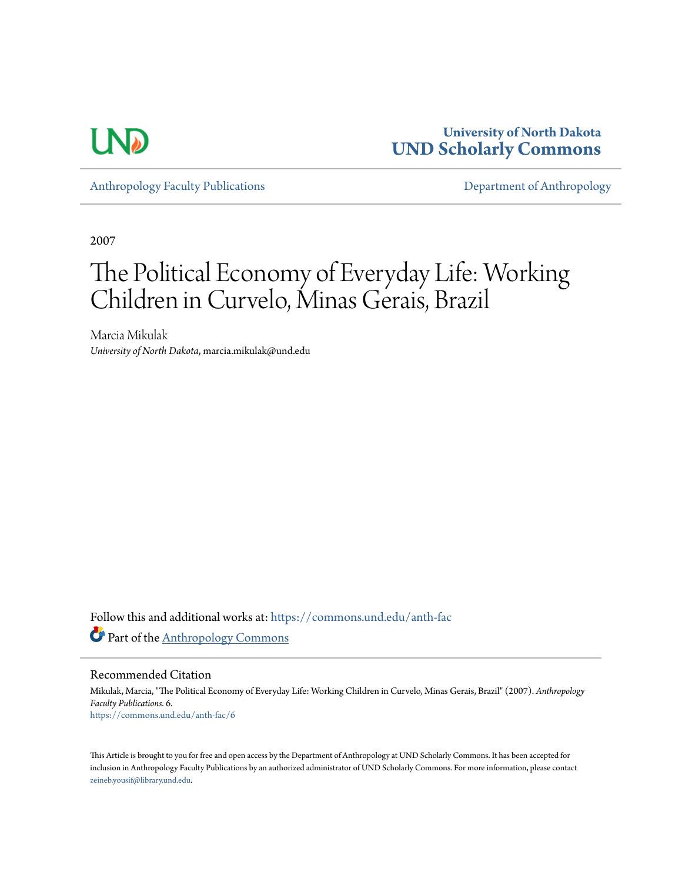

**University of North Dakota [UND Scholarly Commons](https://commons.und.edu?utm_source=commons.und.edu%2Fanth-fac%2F6&utm_medium=PDF&utm_campaign=PDFCoverPages)**

[Anthropology Faculty Publications](https://commons.und.edu/anth-fac?utm_source=commons.und.edu%2Fanth-fac%2F6&utm_medium=PDF&utm_campaign=PDFCoverPages) **[Department of Anthropology](https://commons.und.edu/anth?utm_source=commons.und.edu%2Fanth-fac%2F6&utm_medium=PDF&utm_campaign=PDFCoverPages)** 

2007

# The Political Economy of Everyday Life: Working Children in Curvelo, Minas Gerais, Brazil

Marcia Mikulak *University of North Dakota*, marcia.mikulak@und.edu

Follow this and additional works at: [https://commons.und.edu/anth-fac](https://commons.und.edu/anth-fac?utm_source=commons.und.edu%2Fanth-fac%2F6&utm_medium=PDF&utm_campaign=PDFCoverPages) Part of the [Anthropology Commons](http://network.bepress.com/hgg/discipline/318?utm_source=commons.und.edu%2Fanth-fac%2F6&utm_medium=PDF&utm_campaign=PDFCoverPages)

Recommended Citation

Mikulak, Marcia, "The Political Economy of Everyday Life: Working Children in Curvelo, Minas Gerais, Brazil" (2007). *Anthropology Faculty Publications*. 6. [https://commons.und.edu/anth-fac/6](https://commons.und.edu/anth-fac/6?utm_source=commons.und.edu%2Fanth-fac%2F6&utm_medium=PDF&utm_campaign=PDFCoverPages)

This Article is brought to you for free and open access by the Department of Anthropology at UND Scholarly Commons. It has been accepted for inclusion in Anthropology Faculty Publications by an authorized administrator of UND Scholarly Commons. For more information, please contact [zeineb.yousif@library.und.edu](mailto:zeineb.yousif@library.und.edu).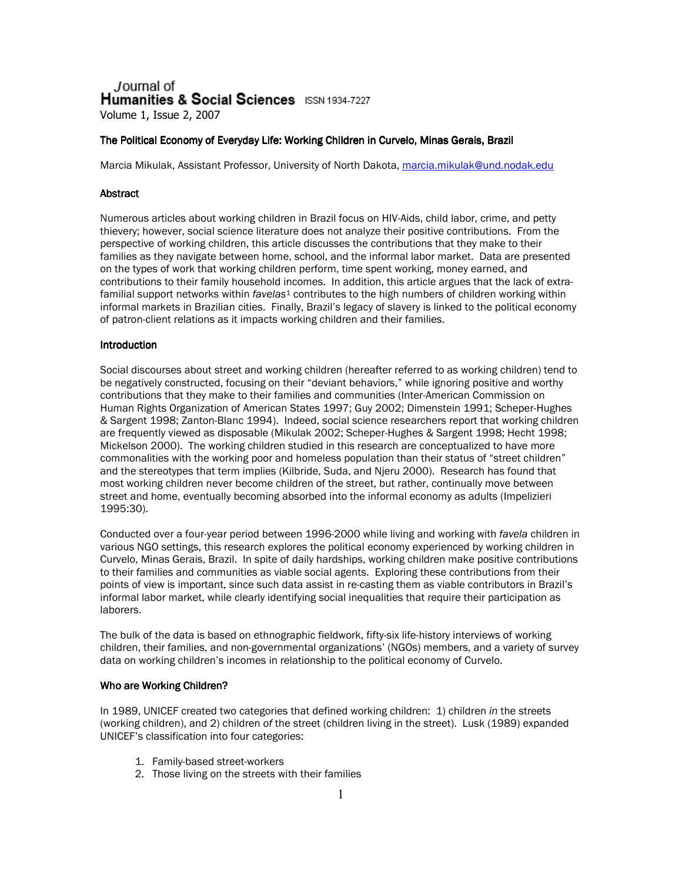Journal of Humanities & Social Sciences ISSN 1934-7227 Volume 1, Issue 2, 2007

# The Political Economy of Everyday Life: Working Children in Curvelo, Minas Gerais, Brazil

Marcia Mikulak, Assistant Professor, University of North Dakota, marcia.mikulak@und.nodak.edu

# **Abstract**

Numerous articles about working children in Brazil focus on HIV-Aids, child labor, crime, and petty thievery; however, social science literature does not analyze their positive contributions. From the perspective of working children, this article discusses the contributions that they make to their families as they navigate between home, school, and the informal labor market. Data are presented on the types of work that working children perform, time spent working, money earned, and contributions to their family household incomes. In addition, this article argues that the lack of extrafamilial support networks within favelas<sup>1</sup> contributes to the high numbers of children working within informal markets in Brazilian cities. Finally, Brazil's legacy of slavery is linked to the political economy of patron-client relations as it impacts working children and their families.

# Introduction

Social discourses about street and working children (hereafter referred to as working children) tend to be negatively constructed, focusing on their "deviant behaviors," while ignoring positive and worthy contributions that they make to their families and communities (Inter-American Commission on Human Rights Organization of American States 1997; Guy 2002; Dimenstein 1991; Scheper-Hughes & Sargent 1998: Zanton-Blanc 1994). Indeed, social science researchers report that working children are frequently viewed as disposable (Mikulak 2002; Scheper-Hughes & Sargent 1998; Hecht 1998; Mickelson 2000). The working children studied in this research are conceptualized to have more commonalities with the working poor and homeless population than their status of "street children" and the stereotypes that term implies (Kilbride, Suda, and Nieru 2000). Research has found that most working children never become children of the street, but rather, continually move between street and home, eventually becoming absorbed into the informal economy as adults (Impelizieri 1995:30).

Conducted over a four-year period between 1996-2000 while living and working with favela children in various NGO settings, this research explores the political economy experienced by working children in Curvelo, Minas Gerais, Brazil. In spite of daily hardships, working children make positive contributions to their families and communities as viable social agents. Exploring these contributions from their points of view is important, since such data assist in re-casting them as viable contributors in Brazil's informal labor market, while clearly identifying social inequalities that require their participation as laborers.

The bulk of the data is based on ethnographic fieldwork, fifty-six life-history interviews of working children, their families, and non-governmental organizations' (NGOs) members, and a variety of survey data on working children's incomes in relationship to the political economy of Curvelo.

# Who are Working Children?

In 1989, UNICEF created two categories that defined working children: 1) children in the streets (working children), and 2) children of the street (children living in the street). Lusk (1989) expanded UNICEF's classification into four categories:

- 1. Family-based street-workers
- 2. Those living on the streets with their families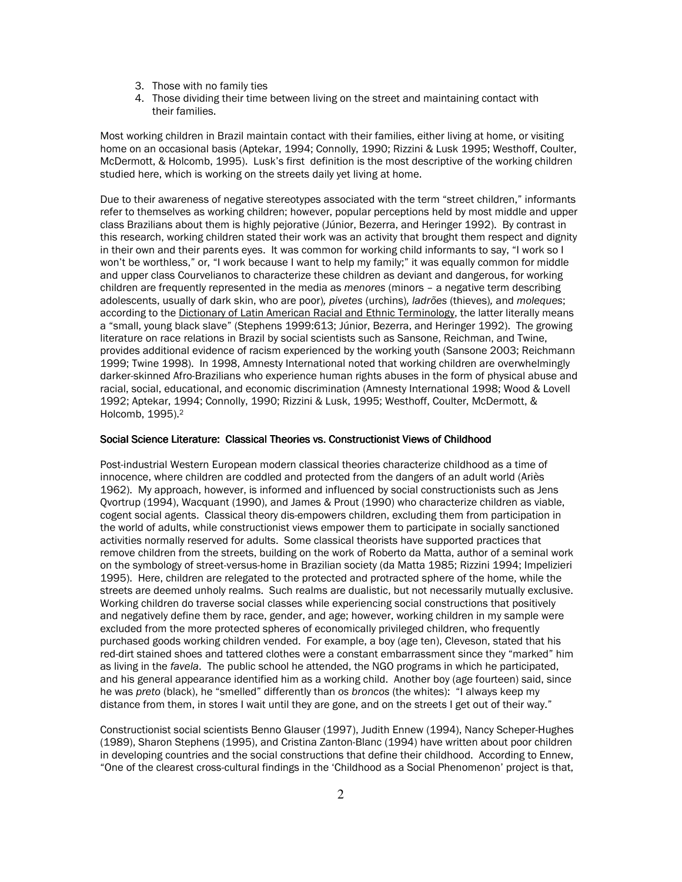- 3. Those with no family ties
- 4. Those dividing their time between living on the street and maintaining contact with their families.

Most working children in Brazil maintain contact with their families, either living at home, or visiting home on an occasional basis (Aptekar, 1994; Connolly, 1990; Rizzini & Lusk 1995; Westhoff, Coulter, McDermott, & Holcomb, 1995). Lusk's first definition is the most descriptive of the working children studied here, which is working on the streets daily yet living at home.

Due to their awareness of negative stereotypes associated with the term "street children," informants refer to themselves as working children; however, popular perceptions held by most middle and upper class Brazilians about them is highly pejorative (Júnior, Bezerra, and Heringer 1992). By contrast in this research, working children stated their work was an activity that brought them respect and dignity in their own and their parents eyes. It was common for working child informants to say, "I work so I won't be worthless," or, "I work because I want to help my family;" it was equally common for middle and upper class Courvelianos to characterize these children as deviant and dangerous, for working children are frequently represented in the media as menores (minors - a negative term describing adolescents, usually of dark skin, who are poor), pivetes (urchins), ladrões (thieves), and moleques; according to the Dictionary of Latin American Racial and Ethnic Terminology, the latter literally means a "small, young black slave" (Stephens 1999:613; Júnior, Bezerra, and Heringer 1992). The growing literature on race relations in Brazil by social scientists such as Sansone, Reichman, and Twine, provides additional evidence of racism experienced by the working youth (Sansone 2003; Reichmann 1999; Twine 1998). In 1998, Amnesty International noted that working children are overwhelmingly darker-skinned Afro-Brazilians who experience human rights abuses in the form of physical abuse and racial, social, educational, and economic discrimination (Amnesty International 1998; Wood & Lovell 1992; Aptekar, 1994; Connolly, 1990; Rizzini & Lusk, 1995; Westhoff, Coulter, McDermott, & Holcomb, 1995).<sup>2</sup>

## Social Science Literature: Classical Theories vs. Constructionist Views of Childhood

Post-industrial Western European modern classical theories characterize childhood as a time of innocence, where children are coddled and protected from the dangers of an adult world (Ariès 1962). My approach, however, is informed and influenced by social constructionists such as Jens Qvortrup (1994), Wacquant (1990), and James & Prout (1990) who characterize children as viable, cogent social agents. Classical theory dis-empowers children, excluding them from participation in the world of adults, while constructionist views empower them to participate in socially sanctioned activities normally reserved for adults. Some classical theorists have supported practices that remove children from the streets, building on the work of Roberto da Matta, author of a seminal work on the symbology of street-versus-home in Brazilian society (da Matta 1985; Rizzini 1994; Impelizieri 1995). Here, children are relegated to the protected and protracted sphere of the home, while the streets are deemed unholy realms. Such realms are dualistic, but not necessarily mutually exclusive. Working children do traverse social classes while experiencing social constructions that positively and negatively define them by race, gender, and age; however, working children in my sample were excluded from the more protected spheres of economically privileged children, who frequently purchased goods working children vended. For example, a boy (age ten), Cleveson, stated that his red-dirt stained shoes and tattered clothes were a constant embarrassment since they "marked" him as living in the favela. The public school he attended, the NGO programs in which he participated. and his general appearance identified him as a working child. Another boy (age fourteen) said, since he was preto (black), he "smelled" differently than os broncos (the whites): "I always keep my distance from them, in stores I wait until they are gone, and on the streets I get out of their way."

Constructionist social scientists Benno Glauser (1997), Judith Ennew (1994), Nancy Scheper-Hughes (1989), Sharon Stephens (1995), and Cristina Zanton-Blanc (1994) have written about poor children in developing countries and the social constructions that define their childhood. According to Ennew. "One of the clearest cross-cultural findings in the 'Childhood as a Social Phenomenon' project is that,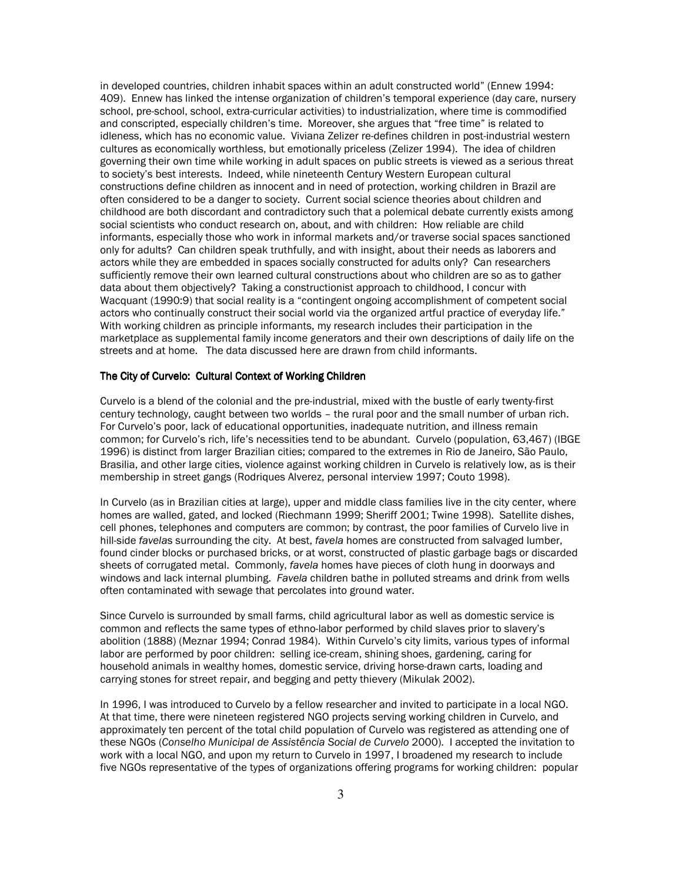in developed countries, children inhabit spaces within an adult constructed world" (Ennew 1994: 409). Ennew has linked the intense organization of children's temporal experience (day care, nursery school, pre-school, school, extra-curricular activities) to industrialization, where time is commodified and conscripted, especially children's time. Moreover, she argues that "free time" is related to idleness, which has no economic value. Viviana Zelizer re-defines children in post-industrial western cultures as economically worthless, but emotionally priceless (Zelizer 1994). The idea of children governing their own time while working in adult spaces on public streets is viewed as a serious threat to society's best interests. Indeed, while nineteenth Century Western European cultural constructions define children as innocent and in need of protection, working children in Brazil are often considered to be a danger to society. Current social science theories about children and childhood are both discordant and contradictory such that a polemical debate currently exists among social scientists who conduct research on, about, and with children: How reliable are child informants, especially those who work in informal markets and/or traverse social spaces sanctioned only for adults? Can children speak truthfully, and with insight, about their needs as laborers and actors while they are embedded in spaces socially constructed for adults only? Can researchers sufficiently remove their own learned cultural constructions about who children are so as to gather data about them objectively? Taking a constructionist approach to childhood, I concur with Wacquant (1990:9) that social reality is a "contingent ongoing accomplishment of competent social actors who continually construct their social world via the organized artful practice of everyday life." With working children as principle informants, my research includes their participation in the marketplace as supplemental family income generators and their own descriptions of daily life on the streets and at home. The data discussed here are drawn from child informants.

## The City of Curvelo: Cultural Context of Working Children

Curvelo is a blend of the colonial and the pre-industrial, mixed with the bustle of early twenty-first century technology, caught between two worlds - the rural poor and the small number of urban rich. For Curvelo's poor, lack of educational opportunities, inadequate nutrition, and illness remain common; for Curvelo's rich, life's necessities tend to be abundant. Curvelo (population, 63,467) (IBGE 1996) is distinct from larger Brazilian cities; compared to the extremes in Rio de Janeiro, São Paulo, Brasilia, and other large cities, violence against working children in Curvelo is relatively low, as is their membership in street gangs (Rodriques Alverez, personal interview 1997; Couto 1998).

In Curvelo (as in Brazilian cities at large), upper and middle class families live in the city center, where homes are walled, gated, and locked (Riechmann 1999; Sheriff 2001; Twine 1998). Satellite dishes, cell phones, telephones and computers are common; by contrast, the poor families of Curvelo live in hill-side favelas surrounding the city. At best, favela homes are constructed from salvaged lumber, found cinder blocks or purchased bricks, or at worst, constructed of plastic garbage bags or discarded sheets of corrugated metal. Commonly, favela homes have pieces of cloth hung in doorways and windows and lack internal plumbing. Favela children bathe in polluted streams and drink from wells often contaminated with sewage that percolates into ground water.

Since Curvelo is surrounded by small farms, child agricultural labor as well as domestic service is common and reflects the same types of ethno-labor performed by child slaves prior to slavery's abolition (1888) (Meznar 1994; Conrad 1984). Within Curvelo's city limits, various types of informal labor are performed by poor children: selling ice-cream, shining shoes, gardening, caring for household animals in wealthy homes, domestic service, driving horse-drawn carts, loading and carrying stones for street repair, and begging and petty thievery (Mikulak 2002).

In 1996, I was introduced to Curvelo by a fellow researcher and invited to participate in a local NGO. At that time, there were nineteen registered NGO projects serving working children in Curvelo, and approximately ten percent of the total child population of Curvelo was registered as attending one of these NGOs (Conselho Municipal de Assistência Social de Curvelo 2000). I accepted the invitation to work with a local NGO, and upon my return to Curvelo in 1997, I broadened my research to include five NGOs representative of the types of organizations offering programs for working children: popular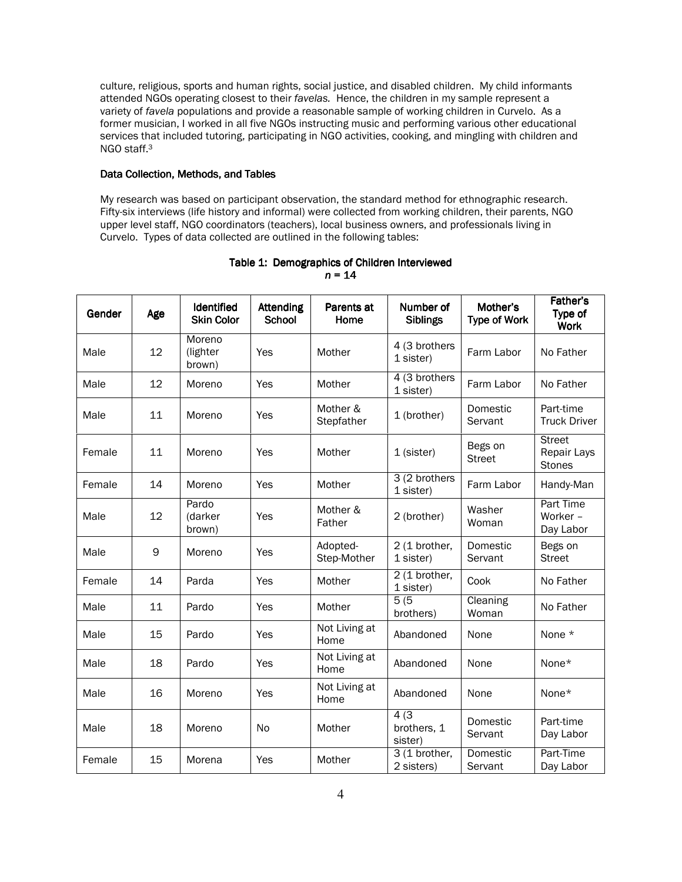culture, religious, sports and human rights, social justice, and disabled children. My child informants attended NGOs operating closest to their favelas. Hence, the children in my sample represent a variety of favela populations and provide a reasonable sample of working children in Curvelo. As a former musician, I worked in all five NGOs instructing music and performing various other educational services that included tutoring, participating in NGO activities, cooking, and mingling with children and NGO staff.<sup>3</sup>

# Data Collection, Methods, and Tables

My research was based on participant observation, the standard method for ethnographic research. Fifty-six interviews (life history and informal) were collected from working children, their parents, NGO upper level staff, NGO coordinators (teachers), local business owners, and professionals living in Curvelo. Types of data collected are outlined in the following tables:

| Gender | Age | Identified<br><b>Skin Color</b> | <b>Attending</b><br><b>School</b> | Parents at<br>Home                       | Number of<br><b>Siblings</b>       |                          | Father's<br>Type of<br><b>Work</b>        |
|--------|-----|---------------------------------|-----------------------------------|------------------------------------------|------------------------------------|--------------------------|-------------------------------------------|
| Male   | 12  | Moreno<br>(lighter<br>brown)    | Yes                               | Mother                                   | 4 (3 brothers<br>1 sister)         | Farm Labor               | No Father                                 |
| Male   | 12  | Moreno                          | Yes                               | Mother                                   | 4 (3 brothers<br>1 sister)         | Farm Labor               | No Father                                 |
| Male   | 11  | Moreno                          | Yes                               | Mother &<br>Stepfather                   | Domestic<br>1 (brother)<br>Servant |                          | Part-time<br><b>Truck Driver</b>          |
| Female | 11  | Moreno                          | Yes                               | Mother                                   | 1 (sister)                         | Begs on<br><b>Street</b> | <b>Street</b><br>Repair Lays<br>Stones    |
| Female | 14  | Moreno                          | Yes                               | Mother                                   | 3 (2 brothers<br>1 sister)         | Farm Labor               | Handy-Man                                 |
| Male   | 12  | Pardo<br>(darker<br>brown)      | Yes                               | Mother &<br>Father                       | 2 (brother)                        | Washer<br>Woman          | <b>Part Time</b><br>Worker -<br>Day Labor |
| Male   | 9   | Moreno                          | Yes                               | Adopted-<br>Step-Mother                  | 2 (1 brother,<br>1 sister)         | Domestic<br>Servant      | Begs on<br><b>Street</b>                  |
| Female | 14  | Parda                           | Yes                               | Mother                                   | $2(1)$ brother,<br>1 sister)       | Cook                     | No Father                                 |
| Male   | 11  | Pardo                           | Yes                               | Mother                                   | 5(5)<br>brothers)                  | Cleaning<br>Woman        | No Father                                 |
| Male   | 15  | Pardo                           | Yes                               | Not Living at<br>Home                    | Abandoned                          | None                     | None *                                    |
| Male   | 18  | Pardo                           | Yes                               | Not Living at<br>Home                    | Abandoned                          | None                     | None*                                     |
| Male   | 16  | Moreno                          | Yes                               | Not Living at<br>Home                    | Abandoned                          | None                     | None*                                     |
| Male   | 18  | Moreno                          | No                                | 4(3)<br>brothers, 1<br>Mother<br>sister) |                                    | Domestic<br>Servant      | Part-time<br>Day Labor                    |
| Female | 15  | Morena                          | Yes                               | Mother                                   | 3 (1 brother,<br>2 sisters)        | Domestic<br>Servant      | Part-Time<br>Day Labor                    |

# Table 1: Demographics of Children Interviewed  $n = 14$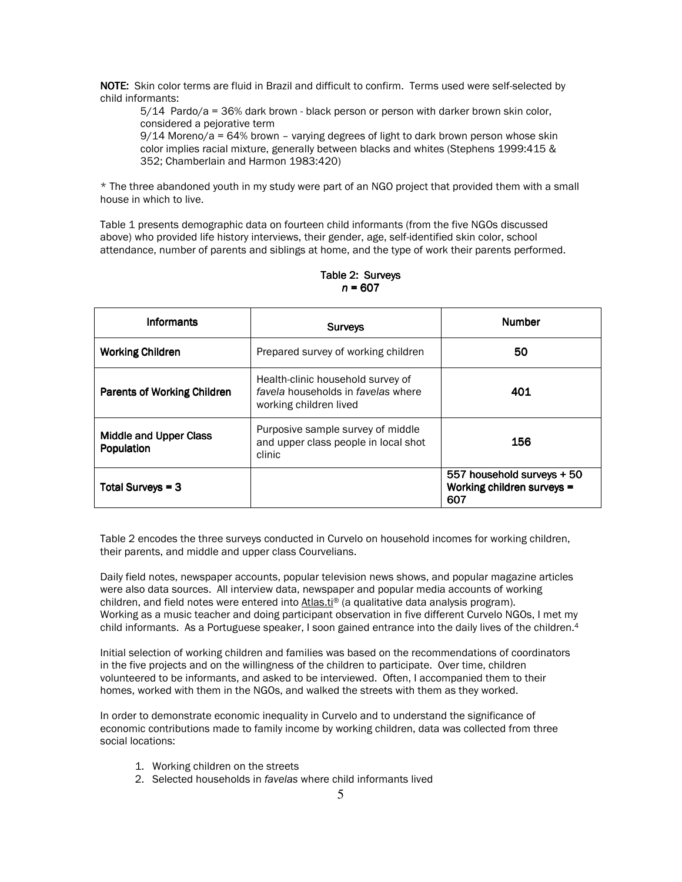NOTE: Skin color terms are fluid in Brazil and difficult to confirm. Terms used were self-selected by child informants:

5/14 Pardo/a = 36% dark brown - black person or person with darker brown skin color, considered a pejorative term

 $9/14$  Moreno/a = 64% brown - varying degrees of light to dark brown person whose skin color implies racial mixture, generally between blacks and whites (Stephens 1999:415 & 352: Chamberlain and Harmon 1983:420)

\* The three abandoned youth in my study were part of an NGO project that provided them with a small house in which to live.

Table 1 presents demographic data on fourteen child informants (from the five NGOs discussed above) who provided life history interviews, their gender, age, self-identified skin color, school attendance, number of parents and siblings at home, and the type of work their parents performed.

| <b>Informants</b>                           | <b>Surveys</b>                                                                                    | <b>Number</b>                                                   |  |
|---------------------------------------------|---------------------------------------------------------------------------------------------------|-----------------------------------------------------------------|--|
| <b>Working Children</b>                     | Prepared survey of working children                                                               | 50                                                              |  |
| <b>Parents of Working Children</b>          | Health-clinic household survey of<br>favela households in favelas where<br>working children lived | 401                                                             |  |
| <b>Middle and Upper Class</b><br>Population | Purposive sample survey of middle<br>and upper class people in local shot<br>clinic               | 156                                                             |  |
| Total Surveys = 3                           |                                                                                                   | 557 household surveys + 50<br>Working children surveys =<br>607 |  |

Table 2: Surveys  $n = 607$ 

Table 2 encodes the three surveys conducted in Curvelo on household incomes for working children, their parents, and middle and upper class Courvelians.

Daily field notes, newspaper accounts, popular television news shows, and popular magazine articles were also data sources. All interview data, newspaper and popular media accounts of working children, and field notes were entered into Atlas.ti® (a qualitative data analysis program). Working as a music teacher and doing participant observation in five different Curvelo NGOs, I met my child informants. As a Portuguese speaker, I soon gained entrance into the daily lives of the children.<sup>4</sup>

Initial selection of working children and families was based on the recommendations of coordinators in the five projects and on the willingness of the children to participate. Over time, children volunteered to be informants, and asked to be interviewed. Often, I accompanied them to their homes, worked with them in the NGOs, and walked the streets with them as they worked.

In order to demonstrate economic inequality in Curvelo and to understand the significance of economic contributions made to family income by working children, data was collected from three social locations:

- 1. Working children on the streets
- 2. Selected households in favelas where child informants lived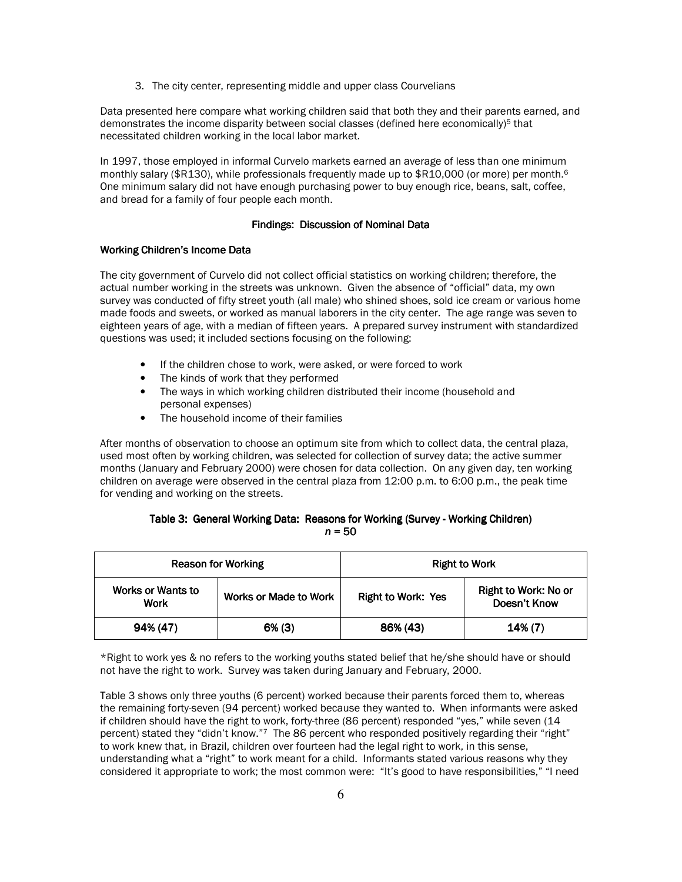3. The city center, representing middle and upper class Courvelians

Data presented here compare what working children said that both they and their parents earned, and demonstrates the income disparity between social classes (defined here economically)<sup>5</sup> that necessitated children working in the local labor market.

In 1997, those emploved in informal Curvelo markets earned an average of less than one minimum monthly salary (\$R130), while professionals frequently made up to \$R10,000 (or more) per month.<sup>6</sup> One minimum salary did not have enough purchasing power to buy enough rice, beans, salt, coffee, and bread for a family of four people each month.

# Findings: Discussion of Nominal Data

# **Working Children's Income Data**

The city government of Curvelo did not collect official statistics on working children; therefore, the actual number working in the streets was unknown. Given the absence of "official" data, my own survey was conducted of fifty street youth (all male) who shined shoes, sold ice cream or various home made foods and sweets, or worked as manual laborers in the city center. The age range was seven to eighteen years of age, with a median of fifteen years. A prepared survey instrument with standardized questions was used; it included sections focusing on the following:

- If the children chose to work, were asked, or were forced to work
- The kinds of work that they performed
- The ways in which working children distributed their income (household and personal expenses)
- The household income of their families

After months of observation to choose an optimum site from which to collect data, the central plaza. used most often by working children, was selected for collection of survey data; the active summer months (January and February 2000) were chosen for data collection. On any given day, ten working children on average were observed in the central plaza from 12:00 p.m. to 6:00 p.m., the peak time for vending and working on the streets.

# Table 3: General Working Data: Reasons for Working (Survey - Working Children)  $n = 50$

|                                                           | <b>Reason for Working</b> | <b>Right to Work</b>      |                                      |  |
|-----------------------------------------------------------|---------------------------|---------------------------|--------------------------------------|--|
| Works or Wants to<br><b>Works or Made to Work</b><br>Work |                           | <b>Right to Work: Yes</b> | Right to Work: No or<br>Doesn't Know |  |
| 94% (47)<br>$6\%$ (3)                                     |                           | 86% (43)                  | 14% (7)                              |  |

\*Right to work yes & no refers to the working youths stated belief that he/she should have or should not have the right to work. Survey was taken during January and February, 2000.

Table 3 shows only three youths (6 percent) worked because their parents forced them to, whereas the remaining forty-seven (94 percent) worked because they wanted to. When informants were asked if children should have the right to work, forty-three (86 percent) responded "yes," while seven (14 percent) stated they "didn't know."7 The 86 percent who responded positively regarding their "right" to work knew that, in Brazil, children over fourteen had the legal right to work, in this sense, understanding what a "right" to work meant for a child. Informants stated various reasons why they considered it appropriate to work; the most common were: "It's good to have responsibilities," "I need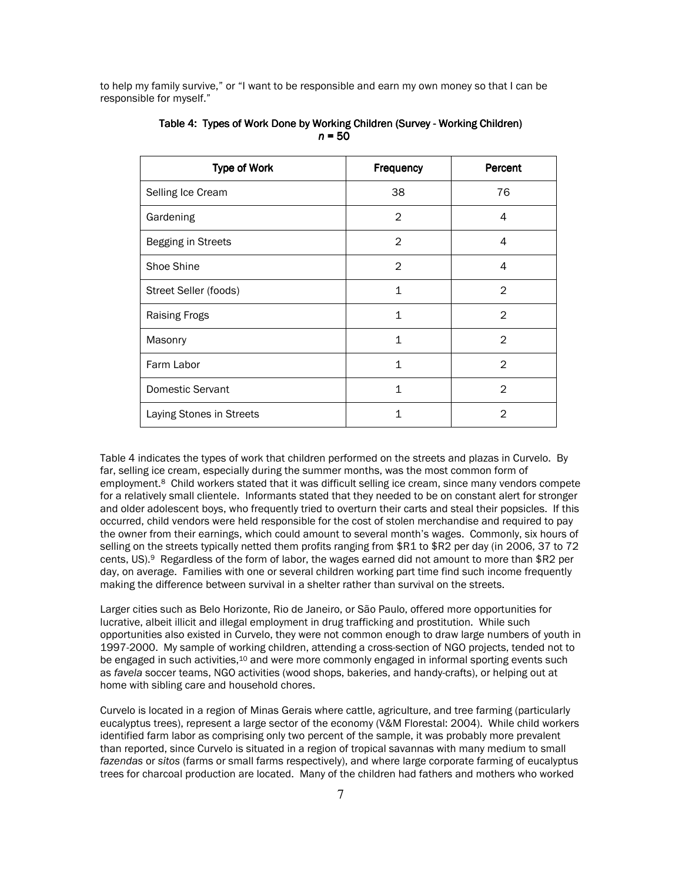to help my family survive," or "I want to be responsible and earn my own money so that I can be responsible for myself."

| <b>Type of Work</b>      | Frequency      | Percent        |  |
|--------------------------|----------------|----------------|--|
| Selling Ice Cream        | 38             | 76             |  |
| Gardening                | $\overline{2}$ | 4              |  |
| Begging in Streets       | $\overline{2}$ | 4              |  |
| Shoe Shine               | $\overline{2}$ | 4              |  |
| Street Seller (foods)    | $\mathbf{1}$   | 2              |  |
| <b>Raising Frogs</b>     | $\mathbf{1}$   | $\overline{2}$ |  |
| Masonry                  | $\mathbf{1}$   | 2              |  |
| Farm Labor               | $\mathbf{1}$   | $\mathfrak{D}$ |  |
| Domestic Servant         | $\mathbf{1}$   | $\overline{2}$ |  |
| Laying Stones in Streets | 1              | 2              |  |

Table 4: Types of Work Done by Working Children (Survey - Working Children)  $n = 50$ 

Table 4 indicates the types of work that children performed on the streets and plazas in Curvelo. By far, selling ice cream, especially during the summer months, was the most common form of employment.<sup>8</sup> Child workers stated that it was difficult selling ice cream, since many vendors compete for a relatively small clientele. Informants stated that they needed to be on constant alert for stronger and older adolescent boys, who frequently tried to overturn their carts and steal their popsicles. If this occurred, child vendors were held responsible for the cost of stolen merchandise and required to pay the owner from their earnings, which could amount to several month's wages. Commonly, six hours of selling on the streets typically netted them profits ranging from \$R1 to \$R2 per day (in 2006, 37 to 72 cents, US).<sup>9</sup> Regardless of the form of labor, the wages earned did not amount to more than \$R2 per day, on average. Families with one or several children working part time find such income frequently making the difference between survival in a shelter rather than survival on the streets.

Larger cities such as Belo Horizonte, Rio de Janeiro, or São Paulo, offered more opportunities for lucrative, albeit illicit and illegal employment in drug trafficking and prostitution. While such opportunities also existed in Curvelo, they were not common enough to draw large numbers of youth in 1997-2000. My sample of working children, attending a cross-section of NGO projects, tended not to be engaged in such activities,<sup>10</sup> and were more commonly engaged in informal sporting events such as favela soccer teams, NGO activities (wood shops, bakeries, and handy-crafts), or helping out at home with sibling care and household chores.

Curvelo is located in a region of Minas Gerais where cattle, agriculture, and tree farming (particularly eucalyptus trees), represent a large sector of the economy (V&M Florestal: 2004). While child workers identified farm labor as comprising only two percent of the sample, it was probably more prevalent than reported, since Curvelo is situated in a region of tropical savannas with many medium to small fazendas or sitos (farms or small farms respectively), and where large corporate farming of eucalyptus trees for charcoal production are located. Many of the children had fathers and mothers who worked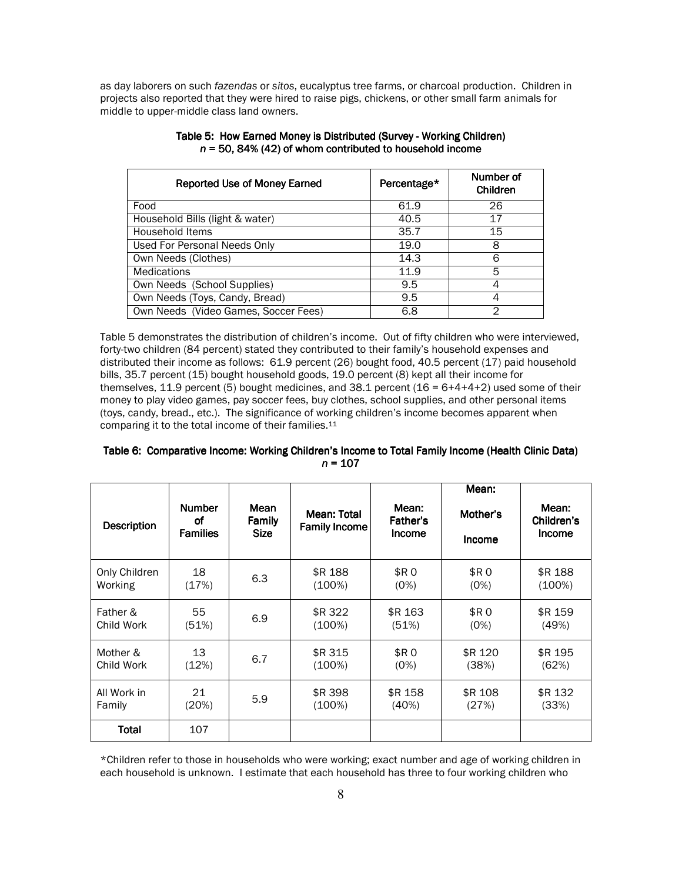as day laborers on such fazendas or sitos, eucalyptus tree farms, or charcoal production. Children in projects also reported that they were hired to raise pigs, chickens, or other small farm animals for middle to upper-middle class land owners.

| <b>Reported Use of Money Earned</b>  | Percentage* | Number of<br>Children |  |
|--------------------------------------|-------------|-----------------------|--|
| Food                                 | 61.9        | 26                    |  |
| Household Bills (light & water)      | 40.5        | 17                    |  |
| Household Items                      | 35.7        | 15                    |  |
| Used For Personal Needs Only         | 19.0        | 8                     |  |
| Own Needs (Clothes)                  | 14.3        | 6                     |  |
| <b>Medications</b>                   | 11.9        | 5                     |  |
| Own Needs (School Supplies)          | 9.5         | 4                     |  |
| Own Needs (Toys, Candy, Bread)       | 9.5         | 4                     |  |
| Own Needs (Video Games, Soccer Fees) | 6.8         | 2                     |  |

| Table 5: How Earned Money is Distributed (Survey - Working Children) |
|----------------------------------------------------------------------|
| $n = 50$ , 84% (42) of whom contributed to household income          |

Table 5 demonstrates the distribution of children's income. Out of fifty children who were interviewed, forty-two children (84 percent) stated they contributed to their family's household expenses and distributed their income as follows: 61.9 percent (26) bought food, 40.5 percent (17) paid household bills, 35.7 percent (15) bought household goods, 19.0 percent (8) kept all their income for themselves, 11.9 percent (5) bought medicines, and 38.1 percent ( $16 = 6+4+4+2$ ) used some of their money to play video games, pay soccer fees, buy clothes, school supplies, and other personal items (toys, candy, bread., etc.). The significance of working children's income becomes apparent when comparing it to the total income of their families.<sup>11</sup>

| Table 6: Comparative Income: Working Children's Income to Total Family Income (Health Clinic Data) |  |
|----------------------------------------------------------------------------------------------------|--|
| $n = 107$                                                                                          |  |

| <b>Description</b> | <b>Number</b><br>οf<br><b>Families</b> | Mean<br>Family<br><b>Size</b> | Mean: Total<br><b>Family Income</b> | Mean:<br>Father's<br><b>Income</b> | Mean:<br>Mother's<br><b>Income</b> | Mean:<br>Children's<br>Income |
|--------------------|----------------------------------------|-------------------------------|-------------------------------------|------------------------------------|------------------------------------|-------------------------------|
| Only Children      | 18                                     | 6.3                           | \$R 188                             | \$R 0                              | \$R 0                              | \$R 188                       |
| Working            | (17%)                                  |                               | (100%)                              | (0%)                               | (0%)                               | (100%)                        |
| Father &           | 55                                     | 6.9                           | \$R 322                             | \$R 163                            | \$R 0                              | \$R 159                       |
| Child Work         | (51%)                                  |                               | (100%)                              | (51%)                              | (0%)                               | (49%)                         |
| Mother &           | 13                                     | 6.7                           | \$R 315                             | \$R 0                              | \$R 120                            | \$R 195                       |
| Child Work         | (12%)                                  |                               | (100%)                              | (0%)                               | (38%)                              | (62%)                         |
| All Work in        | 21                                     | 5.9                           | \$R 398                             | \$R 158                            | \$R 108                            | \$R 132                       |
| Family             | (20%)                                  |                               | $(100\%)$                           | (40%)                              | (27%)                              | (33%)                         |
| Total              | 107                                    |                               |                                     |                                    |                                    |                               |

\*Children refer to those in households who were working; exact number and age of working children in each household is unknown. I estimate that each household has three to four working children who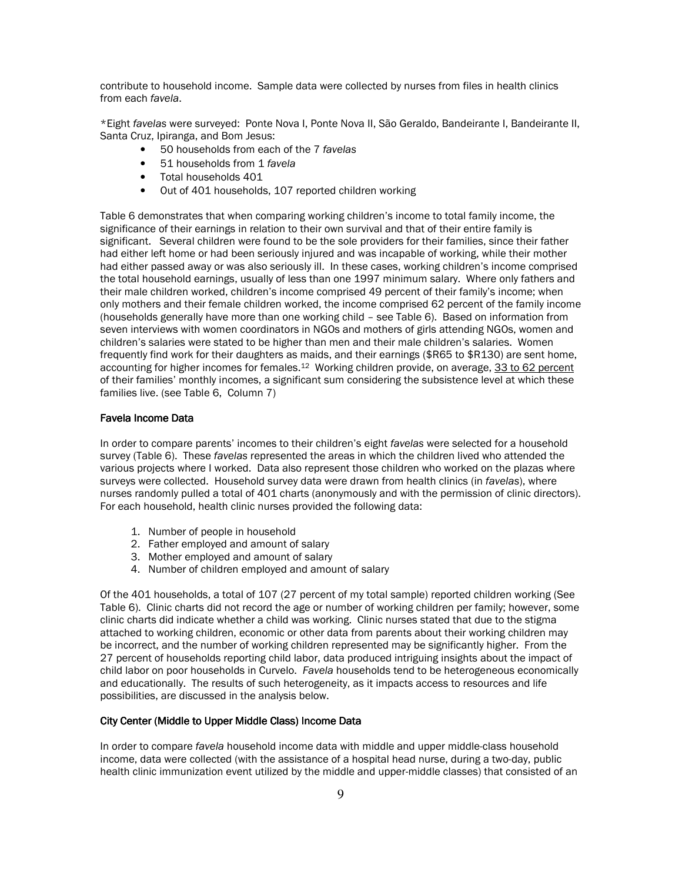contribute to household income. Sample data were collected by nurses from files in health clinics from each favela.

\*Eight favelas were surveyed: Ponte Nova I, Ponte Nova II, São Geraldo, Bandeirante I, Bandeirante II, Santa Cruz, Ipiranga, and Bom Jesus:

- 50 households from each of the 7 favelas  $\bullet$
- 51 households from 1 favela  $\bullet$
- Total households 401  $\bullet$
- Out of 401 households, 107 reported children working  $\bullet$

Table 6 demonstrates that when comparing working children's income to total family income, the significance of their earnings in relation to their own survival and that of their entire family is significant. Several children were found to be the sole providers for their families, since their father had either left home or had been seriously injured and was incapable of working, while their mother had either passed away or was also seriously ill. In these cases, working children's income comprised the total household earnings, usually of less than one 1997 minimum salary. Where only fathers and their male children worked, children's income comprised 49 percent of their family's income; when only mothers and their female children worked, the income comprised 62 percent of the family income (households generally have more than one working child - see Table 6). Based on information from seven interviews with women coordinators in NGOs and mothers of girls attending NGOs, women and children's salaries were stated to be higher than men and their male children's salaries. Women frequently find work for their daughters as maids, and their earnings (\$R65 to \$R130) are sent home, accounting for higher incomes for females.<sup>12</sup> Working children provide, on average, 33 to 62 percent of their families' monthly incomes, a significant sum considering the subsistence level at which these families live. (see Table 6, Column 7)

# **Favela Income Data**

In order to compare parents' incomes to their children's eight favelas were selected for a household survey (Table 6). These favelas represented the areas in which the children lived who attended the various projects where I worked. Data also represent those children who worked on the plazas where surveys were collected. Household survey data were drawn from health clinics (in favelas), where nurses randomly pulled a total of 401 charts (anonymously and with the permission of clinic directors). For each household, health clinic nurses provided the following data:

- 1. Number of people in household
- 2. Father employed and amount of salary
- 3. Mother employed and amount of salary
- 4. Number of children employed and amount of salary

Of the 401 households, a total of 107 (27 percent of my total sample) reported children working (See Table 6). Clinic charts did not record the age or number of working children per family; however, some clinic charts did indicate whether a child was working. Clinic nurses stated that due to the stigma attached to working children, economic or other data from parents about their working children may be incorrect, and the number of working children represented may be significantly higher. From the 27 percent of households reporting child labor, data produced intriguing insights about the impact of child labor on poor households in Curvelo. Favela households tend to be heterogeneous economically and educationally. The results of such heterogeneity, as it impacts access to resources and life possibilities, are discussed in the analysis below.

# City Center (Middle to Upper Middle Class) Income Data

In order to compare favela household income data with middle and upper middle-class household income, data were collected (with the assistance of a hospital head nurse, during a two-day, public health clinic immunization event utilized by the middle and upper-middle classes) that consisted of an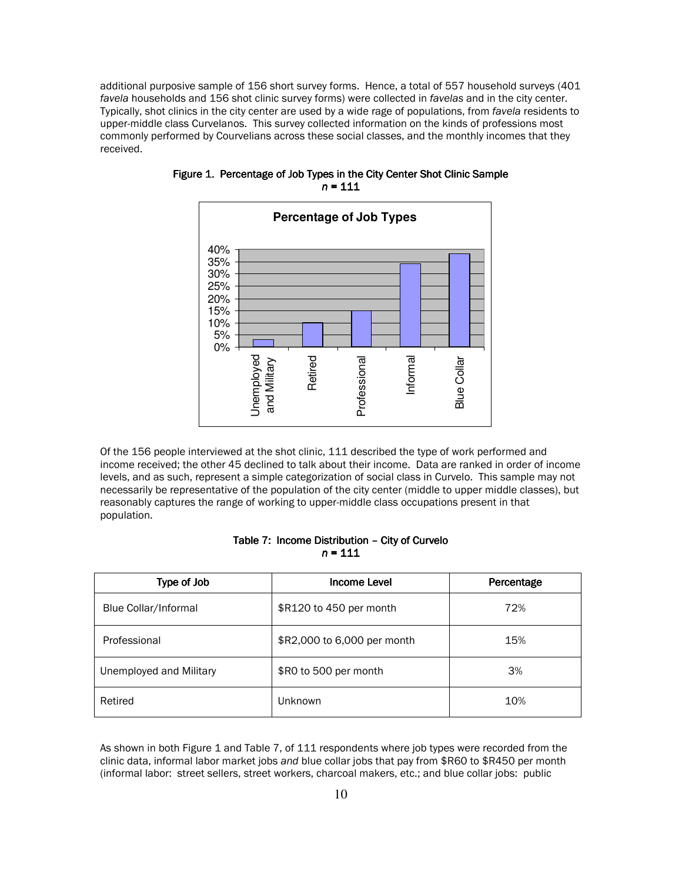additional purposive sample of 156 short survey forms. Hence, a total of 557 household surveys (401 favela households and 156 shot clinic survey forms) were collected in favelas and in the city center. Typically, shot clinics in the city center are used by a wide rage of populations, from favela residents to upper-middle class Curvelanos. This survey collected information on the kinds of professions most commonly performed by Courvelians across these social classes, and the monthly incomes that they received.



Figure 1. Percentage of Job Types in the City Center Shot Clinic Sample  $n = 111$ 

Of the 156 people interviewed at the shot clinic, 111 described the type of work performed and income received; the other 45 declined to talk about their income. Data are ranked in order of income levels, and as such, represent a simple categorization of social class in Curvelo. This sample may not necessarily be representative of the population of the city center (middle to upper middle classes), but reasonably captures the range of working to upper-middle class occupations present in that population.

# Table 7: Income Distribution - City of Curvelo  $n = 111$

| Type of Job             | <b>Income Level</b>         | Percentage |
|-------------------------|-----------------------------|------------|
| Blue Collar/Informal    | \$R120 to 450 per month     | 72%        |
| Professional            | \$R2,000 to 6,000 per month | 15%        |
| Unemployed and Military | \$R0 to 500 per month       | 3%         |
| Retired                 | Unknown                     | 10%        |

As shown in both Figure 1 and Table 7, of 111 respondents where job types were recorded from the clinic data, informal labor market jobs and blue collar jobs that pay from \$R60 to \$R450 per month (informal labor: street sellers, street workers, charcoal makers, etc.; and blue collar jobs: public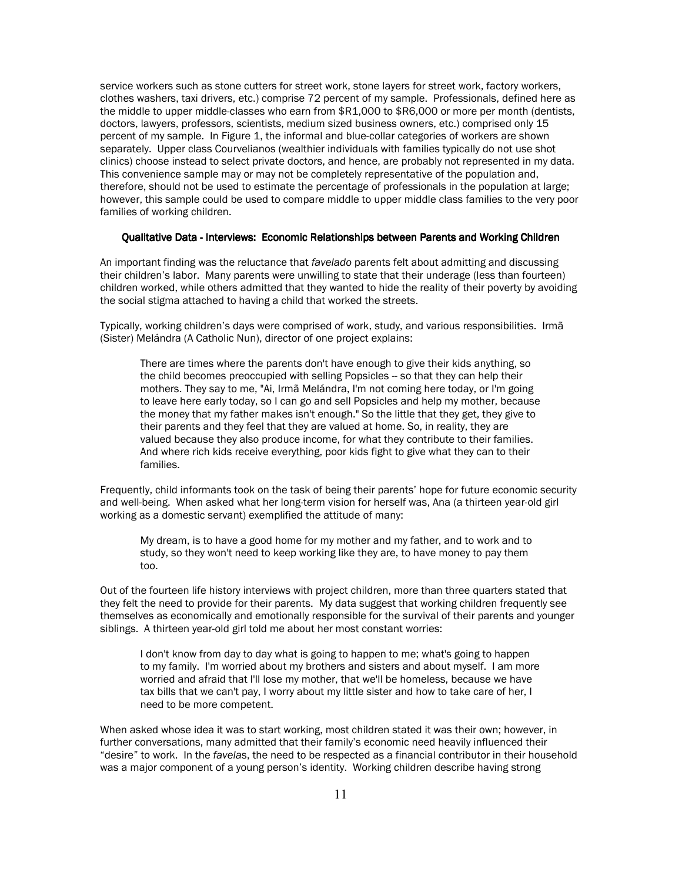service workers such as stone cutters for street work, stone layers for street work, factory workers, clothes washers, taxi drivers, etc.) comprise 72 percent of my sample. Professionals, defined here as the middle to upper middle-classes who earn from \$R1,000 to \$R6,000 or more per month (dentists, doctors, lawyers, professors, scientists, medium sized business owners, etc.) comprised only 15 percent of my sample. In Figure 1, the informal and blue-collar categories of workers are shown separately. Upper class Courvelianos (wealthier individuals with families typically do not use shot clinics) choose instead to select private doctors, and hence, are probably not represented in my data. This convenience sample may or may not be completely representative of the population and. therefore, should not be used to estimate the percentage of professionals in the population at large; however, this sample could be used to compare middle to upper middle class families to the very poor families of working children.

# Qualitative Data - Interviews: Economic Relationships between Parents and Working Children

An important finding was the reluctance that favelado parents felt about admitting and discussing their children's labor. Many parents were unwilling to state that their underage (less than fourteen) children worked, while others admitted that they wanted to hide the reality of their poverty by avoiding the social stigma attached to having a child that worked the streets.

Typically, working children's days were comprised of work, study, and various responsibilities. Irma (Sister) Melándra (A Catholic Nun), director of one project explains:

There are times where the parents don't have enough to give their kids anything, so the child becomes preoccupied with selling Popsicles -- so that they can help their mothers. They say to me, "Ai, Irmã Melándra, I'm not coming here today, or I'm going to leave here early today, so I can go and sell Popsicles and help my mother, because the money that my father makes isn't enough." So the little that they get, they give to their parents and they feel that they are valued at home. So, in reality, they are valued because they also produce income, for what they contribute to their families. And where rich kids receive everything, poor kids fight to give what they can to their families.

Frequently, child informants took on the task of being their parents' hope for future economic security and well-being. When asked what her long-term vision for herself was, Ana (a thirteen year-old girl working as a domestic servant) exemplified the attitude of many:

My dream, is to have a good home for my mother and my father, and to work and to study, so they won't need to keep working like they are, to have money to pay them too.

Out of the fourteen life history interviews with project children, more than three quarters stated that thev felt the need to provide for their parents. My data suggest that working children frequently see themselves as economically and emotionally responsible for the survival of their parents and younger siblings. A thirteen year-old girl told me about her most constant worries:

I don't know from day to day what is going to happen to me; what's going to happen to my family. I'm worried about my brothers and sisters and about myself. I am more worried and afraid that I'll lose my mother, that we'll be homeless, because we have tax bills that we can't pay, I worry about my little sister and how to take care of her, I need to be more competent.

When asked whose idea it was to start working, most children stated it was their own; however, in further conversations, many admitted that their family's economic need heavily influenced their "desire" to work. In the favelas, the need to be respected as a financial contributor in their household was a major component of a young person's identity. Working children describe having strong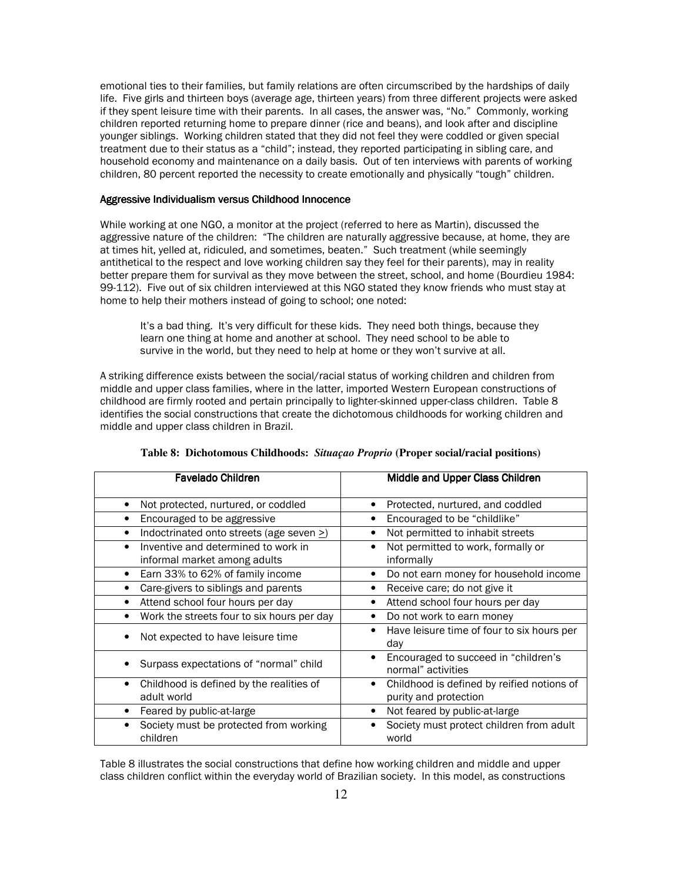emotional ties to their families, but family relations are often circumscribed by the hardships of daily life. Five girls and thirteen boys (average age, thirteen years) from three different projects were asked if they spent leisure time with their parents. In all cases, the answer was, "No." Commonly, working children reported returning home to prepare dinner (rice and beans), and look after and discipline younger siblings. Working children stated that they did not feel they were coddled or given special treatment due to their status as a "child"; instead, they reported participating in sibling care, and household economy and maintenance on a daily basis. Out of ten interviews with parents of working children, 80 percent reported the necessity to create emotionally and physically "tough" children.

## Aggressive Individualism versus Childhood Innocence

While working at one NGO, a monitor at the project (referred to here as Martin), discussed the aggressive nature of the children: "The children are naturally aggressive because, at home, they are at times hit, yelled at, ridiculed, and sometimes, beaten." Such treatment (while seemingly antithetical to the respect and love working children say they feel for their parents), may in reality better prepare them for survival as they move between the street, school, and home (Bourdieu 1984: 99-112). Five out of six children interviewed at this NGO stated they know friends who must stay at home to help their mothers instead of going to school; one noted:

It's a bad thing. It's very difficult for these kids. They need both things, because they learn one thing at home and another at school. They need school to be able to survive in the world, but they need to help at home or they won't survive at all.

A striking difference exists between the social/racial status of working children and children from middle and upper class families, where in the latter, imported Western European constructions of childhood are firmly rooted and pertain principally to lighter-skinned upper-class children. Table 8 identifies the social constructions that create the dichotomous childhoods for working children and middle and upper class children in Brazil.

| <b>Favelado Children</b>                                            | Middle and Upper Class Children                                          |
|---------------------------------------------------------------------|--------------------------------------------------------------------------|
| Not protected, nurtured, or coddled                                 | Protected, nurtured, and coddled<br>٠                                    |
| Encouraged to be aggressive                                         | Encouraged to be "childlike"                                             |
| Indoctrinated onto streets (age seven >)                            | Not permitted to inhabit streets                                         |
| Inventive and determined to work in<br>informal market among adults | Not permitted to work, formally or<br>informally                         |
| Earn 33% to 62% of family income<br>$\bullet$                       | Do not earn money for household income<br>٠                              |
| Care-givers to siblings and parents                                 | Receive care; do not give it                                             |
| Attend school four hours per day<br>٠                               | Attend school four hours per day                                         |
| Work the streets four to six hours per day<br>$\bullet$             | Do not work to earn money<br>٠                                           |
| Not expected to have leisure time                                   | Have leisure time of four to six hours per<br>٠<br>day                   |
| Surpass expectations of "normal" child                              | Encouraged to succeed in "children's<br>٠<br>normal" activities          |
| Childhood is defined by the realities of<br>adult world             | Childhood is defined by reified notions of<br>٠<br>purity and protection |
| Feared by public-at-large                                           | Not feared by public-at-large<br>٠                                       |
| Society must be protected from working<br>children                  | Society must protect children from adult<br>world                        |

| Table 8: Dichotomous Childhoods: Situaçao Proprio (Proper social/racial positions) |  |  |  |  |  |
|------------------------------------------------------------------------------------|--|--|--|--|--|
|------------------------------------------------------------------------------------|--|--|--|--|--|

Table 8 illustrates the social constructions that define how working children and middle and upper class children conflict within the everyday world of Brazilian society. In this model, as constructions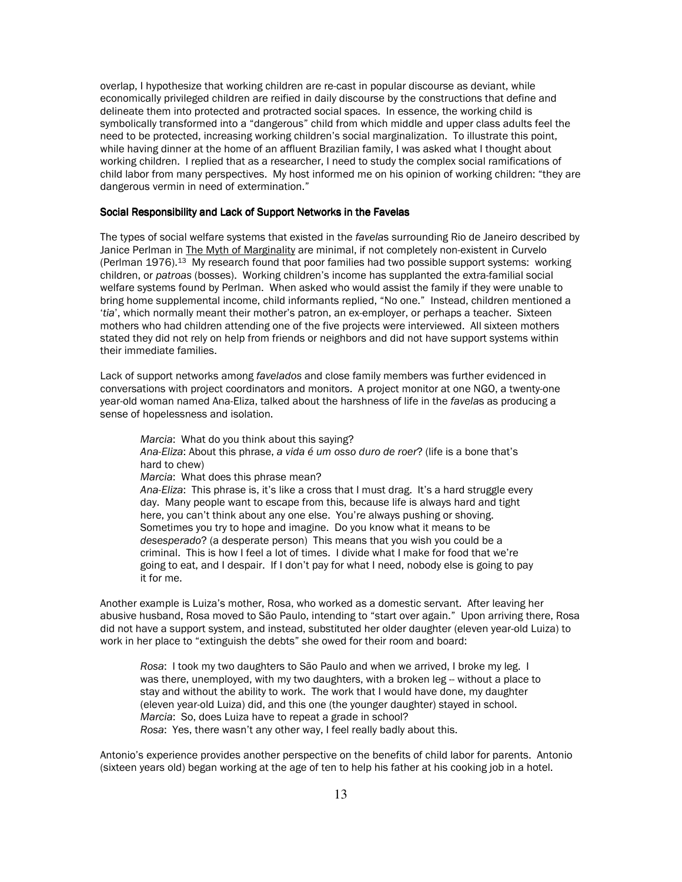overlap, I hypothesize that working children are re-cast in popular discourse as deviant, while economically privileged children are reified in daily discourse by the constructions that define and delineate them into protected and protracted social spaces. In essence, the working child is symbolically transformed into a "dangerous" child from which middle and upper class adults feel the need to be protected, increasing working children's social marginalization. To illustrate this point, while having dinner at the home of an affluent Brazilian family, I was asked what I thought about working children. I replied that as a researcher. I need to study the complex social ramifications of child labor from many perspectives. My host informed me on his opinion of working children: "they are dangerous vermin in need of extermination."

### Social Responsibility and Lack of Support Networks in the Favelas

The types of social welfare systems that existed in the favelas surrounding Rio de Janeiro described by Janice Perlman in The Myth of Marginality are minimal, if not completely non-existent in Curvelo (Perlman 1976).<sup>13</sup> My research found that poor families had two possible support systems: working children, or patroas (bosses). Working children's income has supplanted the extra-familial social welfare systems found by Perlman. When asked who would assist the family if they were unable to bring home supplemental income, child informants replied, "No one." Instead, children mentioned a 'tia', which normally meant their mother's patron, an ex-employer, or perhaps a teacher. Sixteen mothers who had children attending one of the five projects were interviewed. All sixteen mothers stated they did not rely on help from friends or neighbors and did not have support systems within their immediate families.

Lack of support networks among favelados and close family members was further evidenced in conversations with project coordinators and monitors. A project monitor at one NGO, a twenty-one year-old woman named Ana-Eliza, talked about the harshness of life in the favelas as producing a sense of hopelessness and isolation.

Marcia: What do you think about this saying? Ana-Eliza: About this phrase, a vida é um osso duro de roer? (life is a bone that's hard to chew) Marcia: What does this phrase mean? Ana-Eliza: This phrase is, it's like a cross that I must drag. It's a hard struggle every day. Many people want to escape from this, because life is always hard and tight here, you can't think about any one else. You're always pushing or shoving. Sometimes you try to hope and imagine. Do you know what it means to be desesperado? (a desperate person) This means that you wish you could be a criminal. This is how I feel a lot of times. I divide what I make for food that we're going to eat, and I despair. If I don't pay for what I need, nobody else is going to pay it for me.

Another example is Luiza's mother, Rosa, who worked as a domestic servant. After leaving her abusive husband, Rosa moved to São Paulo, intending to "start over again." Upon arriving there, Rosa did not have a support system, and instead, substituted her older daughter (eleven year-old Luiza) to work in her place to "extinguish the debts" she owed for their room and board:

Rosa: I took my two daughters to São Paulo and when we arrived, I broke my leg. I was there, unemployed, with my two daughters, with a broken leg - without a place to stay and without the ability to work. The work that I would have done, my daughter (eleven year-old Luiza) did, and this one (the younger daughter) stayed in school. Marcia: So, does Luiza have to repeat a grade in school? Rosa: Yes, there wasn't any other way, I feel really badly about this.

Antonio's experience provides another perspective on the benefits of child labor for parents. Antonio (sixteen years old) began working at the age of ten to help his father at his cooking job in a hotel.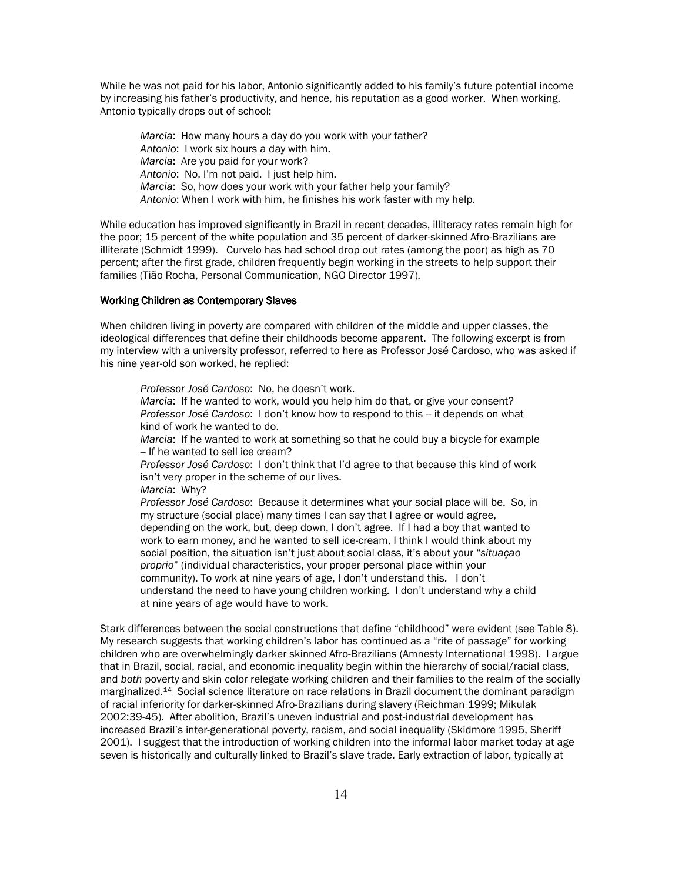While he was not paid for his labor, Antonio significantly added to his family's future potential income by increasing his father's productivity, and hence, his reputation as a good worker. When working, Antonio typically drops out of school:

Marcia: How many hours a day do you work with your father? Antonio: I work six hours a day with him. Marcia: Are you paid for your work? Antonio: No, I'm not paid. I just help him. Marcia: So, how does your work with your father help your family? Antonio: When I work with him, he finishes his work faster with my help.

While education has improved significantly in Brazil in recent decades, illiteracy rates remain high for the poor; 15 percent of the white population and 35 percent of darker-skinned Afro-Brazilians are illiterate (Schmidt 1999). Curvelo has had school drop out rates (among the poor) as high as 70 percent; after the first grade, children frequently begin working in the streets to help support their families (Tião Rocha, Personal Communication, NGO Director 1997).

# **Working Children as Contemporary Slaves**

When children living in poverty are compared with children of the middle and upper classes, the ideological differences that define their childhoods become apparent. The following excerpt is from my interview with a university professor, referred to here as Professor José Cardoso, who was asked if his nine year-old son worked, he replied:

Professor José Cardoso: No. he doesn't work. Marcia: If he wanted to work, would you help him do that, or give your consent? Professor José Cardoso: I don't know how to respond to this -- it depends on what kind of work he wanted to do. Marcia: If he wanted to work at something so that he could buy a bicycle for example -- If he wanted to sell ice cream? Professor José Cardoso: I don't think that I'd agree to that because this kind of work isn't very proper in the scheme of our lives. Marcia: Why? Professor José Cardoso: Because it determines what your social place will be. So, in my structure (social place) many times I can say that I agree or would agree, depending on the work, but, deep down, I don't agree. If I had a boy that wanted to work to earn money, and he wanted to sell ice-cream, I think I would think about my social position, the situation isn't just about social class, it's about your "situacao proprio" (individual characteristics, your proper personal place within your community). To work at nine years of age, I don't understand this. I don't understand the need to have young children working. I don't understand why a child at nine years of age would have to work.

Stark differences between the social constructions that define "childhood" were evident (see Table 8). My research suggests that working children's labor has continued as a "rite of passage" for working children who are overwhelmingly darker skinned Afro-Brazilians (Amnesty International 1998). I argue that in Brazil, social, racial, and economic inequality begin within the hierarchy of social/racial class, and both poverty and skin color relegate working children and their families to the realm of the socially marginalized.<sup>14</sup> Social science literature on race relations in Brazil document the dominant paradigm of racial inferiority for darker-skinned Afro-Brazilians during slavery (Reichman 1999; Mikulak 2002:39-45). After abolition, Brazil's uneven industrial and post-industrial development has increased Brazil's inter-generational poverty, racism, and social inequality (Skidmore 1995, Sheriff 2001). I suggest that the introduction of working children into the informal labor market today at age seven is historically and culturally linked to Brazil's slave trade. Early extraction of labor, typically at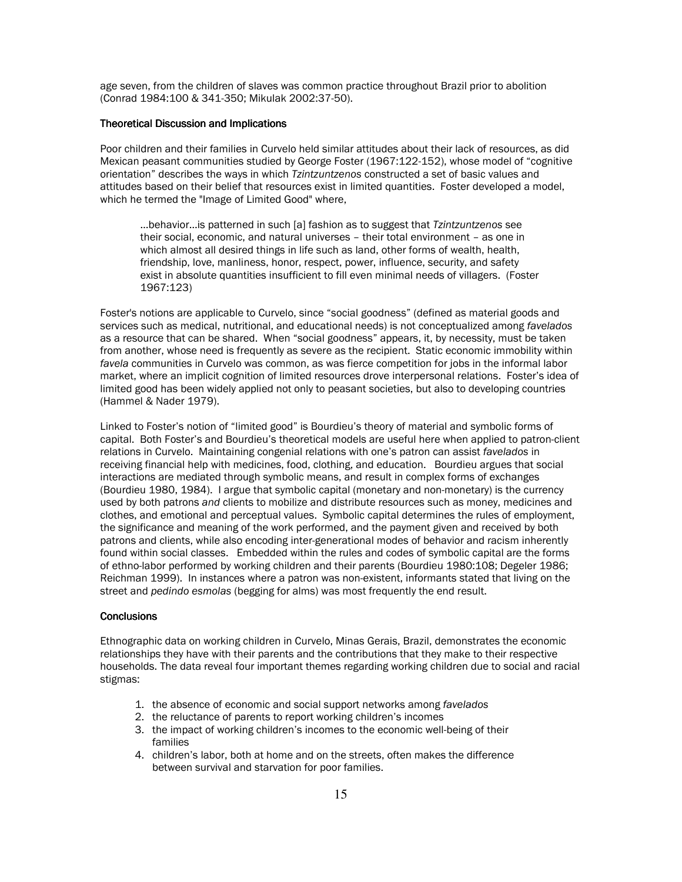age seven, from the children of slaves was common practice throughout Brazil prior to abolition (Conrad 1984:100 & 341-350; Mikulak 2002:37-50).

# **Theoretical Discussion and Implications**

Poor children and their families in Curvelo held similar attitudes about their lack of resources, as did Mexican peasant communities studied by George Foster (1967;122-152), whose model of "cognitive orientation" describes the ways in which Tzintzuntzenos constructed a set of basic values and attitudes based on their belief that resources exist in limited quantities. Foster developed a model, which he termed the "Image of Limited Good" where,

...behavior... is patterned in such [a] fashion as to suggest that Tzintzuntzenos see their social, economic, and natural universes - their total environment - as one in which almost all desired things in life such as land, other forms of wealth, health, friendship, love, manliness, honor, respect, power, influence, security, and safety exist in absolute quantities insufficient to fill even minimal needs of villagers. (Foster 1967:123)

Foster's notions are applicable to Curvelo, since "social goodness" (defined as material goods and services such as medical, nutritional, and educational needs) is not conceptualized among favelados as a resource that can be shared. When "social goodness" appears, it, by necessity, must be taken from another, whose need is frequently as severe as the recipient. Static economic immobility within favela communities in Curvelo was common, as was fierce competition for jobs in the informal labor market, where an implicit cognition of limited resources drove interpersonal relations. Foster's idea of limited good has been widely applied not only to peasant societies, but also to developing countries (Hammel & Nader 1979).

Linked to Foster's notion of "limited good" is Bourdieu's theory of material and symbolic forms of capital. Both Foster's and Bourdieu's theoretical models are useful here when applied to patron-client relations in Curvelo. Maintaining congenial relations with one's patron can assist favelados in receiving financial help with medicines, food, clothing, and education. Bourdieu argues that social interactions are mediated through symbolic means, and result in complex forms of exchanges (Bourdieu 1980, 1984). I argue that symbolic capital (monetary and non-monetary) is the currency used by both patrons and clients to mobilize and distribute resources such as money, medicines and clothes, and emotional and perceptual values. Symbolic capital determines the rules of employment, the significance and meaning of the work performed, and the payment given and received by both patrons and clients, while also encoding inter-generational modes of behavior and racism inherently found within social classes. Embedded within the rules and codes of symbolic capital are the forms of ethno-labor performed by working children and their parents (Bourdieu 1980:108; Degeler 1986; Reichman 1999). In instances where a patron was non-existent, informants stated that living on the street and pedindo esmolas (begging for alms) was most frequently the end result.

## **Conclusions**

Ethnographic data on working children in Curvelo, Minas Gerais, Brazil, demonstrates the economic relationships they have with their parents and the contributions that they make to their respective households. The data reveal four important themes regarding working children due to social and racial stigmas:

- 1. the absence of economic and social support networks among favelados
- 2. the reluctance of parents to report working children's incomes
- 3. the impact of working children's incomes to the economic well-being of their families
- 4. children's labor, both at home and on the streets, often makes the difference between survival and starvation for poor families.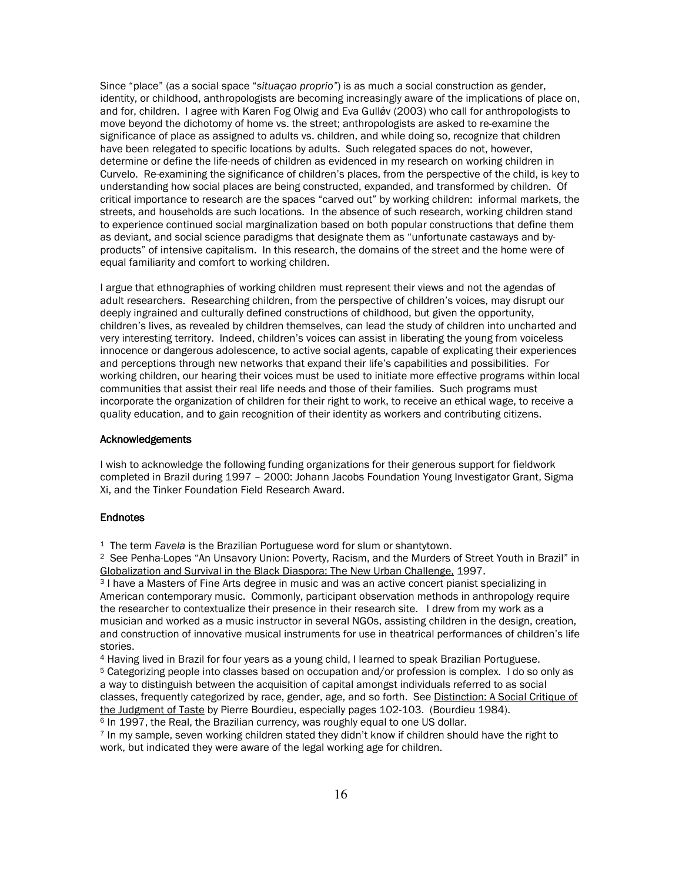Since "place" (as a social space "situação proprio") is as much a social construction as gender, identity, or childhood, anthropologists are becoming increasingly aware of the implications of place on, and for, children. I agree with Karen Fog Olwig and Eva Gulløv (2003) who call for anthropologists to move beyond the dichotomy of home vs. the street; anthropologists are asked to re-examine the significance of place as assigned to adults vs. children, and while doing so, recognize that children have been relegated to specific locations by adults. Such relegated spaces do not, however, determine or define the life-needs of children as evidenced in my research on working children in Curvelo. Re-examining the significance of children's places, from the perspective of the child, is key to understanding how social places are being constructed, expanded, and transformed by children. Of critical importance to research are the spaces "carved out" by working children: informal markets, the streets, and households are such locations. In the absence of such research, working children stand to experience continued social marginalization based on both popular constructions that define them as deviant, and social science paradigms that designate them as "unfortunate castaways and byproducts" of intensive capitalism. In this research, the domains of the street and the home were of equal familiarity and comfort to working children.

I argue that ethnographies of working children must represent their views and not the agendas of adult researchers. Researching children, from the perspective of children's voices, may disrupt our deeply ingrained and culturally defined constructions of childhood, but given the opportunity, children's lives, as revealed by children themselves, can lead the study of children into uncharted and very interesting territory. Indeed, children's voices can assist in liberating the young from voiceless innocence or dangerous adolescence, to active social agents, capable of explicating their experiences and perceptions through new networks that expand their life's capabilities and possibilities. For working children, our hearing their voices must be used to initiate more effective programs within local communities that assist their real life needs and those of their families. Such programs must incorporate the organization of children for their right to work, to receive an ethical wage, to receive a quality education, and to gain recognition of their identity as workers and contributing citizens.

# **Acknowledgements**

I wish to acknowledge the following funding organizations for their generous support for fieldwork completed in Brazil during 1997 - 2000: Johann Jacobs Foundation Young Investigator Grant, Sigma Xi, and the Tinker Foundation Field Research Award.

## **Endnotes**

<sup>1</sup> The term Favela is the Brazilian Portuguese word for slum or shantytown.

<sup>2</sup> See Penha-Lopes "An Unsavory Union: Poverty, Racism, and the Murders of Street Youth in Brazil" in Globalization and Survival in the Black Diaspora: The New Urban Challenge, 1997.

<sup>3</sup> I have a Masters of Fine Arts degree in music and was an active concert pianist specializing in American contemporary music. Commonly, participant observation methods in anthropology require the researcher to contextualize their presence in their research site. I drew from my work as a musician and worked as a music instructor in several NGOs, assisting children in the design, creation, and construction of innovative musical instruments for use in theatrical performances of children's life stories.

4 Having lived in Brazil for four years as a young child, I learned to speak Brazilian Portuguese.

<sup>5</sup> Categorizing people into classes based on occupation and/or profession is complex. I do so only as a way to distinguish between the acquisition of capital amongst individuals referred to as social classes, frequently categorized by race, gender, age, and so forth. See Distinction: A Social Critique of the Judgment of Taste by Pierre Bourdieu, especially pages 102-103. (Bourdieu 1984).

<sup>6</sup> In 1997, the Real, the Brazilian currency, was roughly equal to one US dollar.

<sup>7</sup> In my sample, seven working children stated they didn't know if children should have the right to work, but indicated they were aware of the legal working age for children.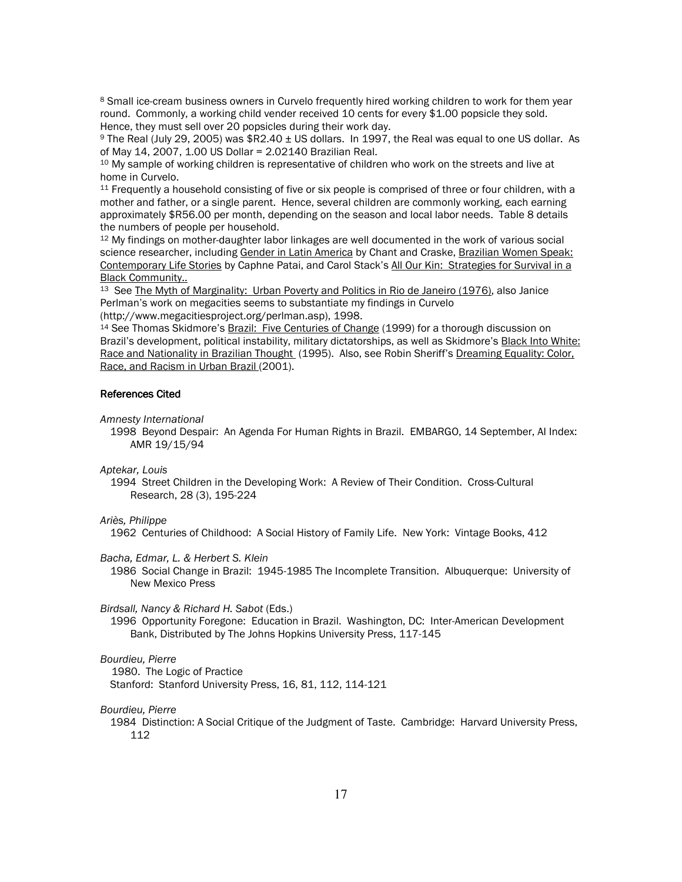<sup>8</sup> Small ice-cream business owners in Curvelo frequently hired working children to work for them year round. Commonly, a working child vender received 10 cents for every \$1.00 popsicle they sold. Hence, they must sell over 20 popsicles during their work day.

<sup>9</sup> The Real (July 29, 2005) was \$R2.40 ± US dollars. In 1997, the Real was equal to one US dollar. As of May 14, 2007, 1.00 US Dollar = 2.02140 Brazilian Real.

<sup>10</sup> My sample of working children is representative of children who work on the streets and live at home in Curvelo.

11 Frequently a household consisting of five or six people is comprised of three or four children, with a mother and father, or a single parent. Hence, several children are commonly working, each earning approximately \$R56.00 per month, depending on the season and local labor needs. Table 8 details the numbers of people per household.

<sup>12</sup> My findings on mother-daughter labor linkages are well documented in the work of various social science researcher, including Gender in Latin America by Chant and Craske, Brazilian Women Speak: Contemporary Life Stories by Caphne Patai, and Carol Stack's All Our Kin: Strategies for Survival in a **Black Community..** 

<sup>13</sup> See The Myth of Marginality: Urban Poverty and Politics in Rio de Janeiro (1976), also Janice Perlman's work on megacities seems to substantiate my findings in Curvelo (http://www.megacitiesproject.org/perlman.asp), 1998.

<sup>14</sup> See Thomas Skidmore's Brazil: Five Centuries of Change (1999) for a thorough discussion on Brazil's development, political instability, military dictatorships, as well as Skidmore's Black Into White: Race and Nationality in Brazilian Thought (1995). Also, see Robin Sheriff's Dreaming Equality: Color. Race, and Racism in Urban Brazil (2001).

# **References Cited**

Amnesty International

1998 Beyond Despair: An Agenda For Human Rights in Brazil. EMBARGO, 14 September, Al Index: AMR 19/15/94

Aptekar, Louis

1994 Street Children in the Developing Work: A Review of Their Condition. Cross-Cultural Research, 28 (3), 195-224

# Ariès, Philippe

1962 Centuries of Childhood: A Social History of Family Life. New York: Vintage Books, 412

Bacha, Edmar, L. & Herbert S. Klein

1986 Social Change in Brazil: 1945-1985 The Incomplete Transition. Albuquerque: University of **New Mexico Press** 

Birdsall, Nancy & Richard H. Sabot (Eds.)

1996 Opportunity Foregone: Education in Brazil. Washington, DC: Inter-American Development Bank, Distributed by The Johns Hopkins University Press, 117-145

# Bourdieu, Pierre

1980. The Logic of Practice

Stanford: Stanford University Press, 16, 81, 112, 114-121

Bourdieu, Pierre

1984 Distinction: A Social Critique of the Judgment of Taste. Cambridge: Harvard University Press, 112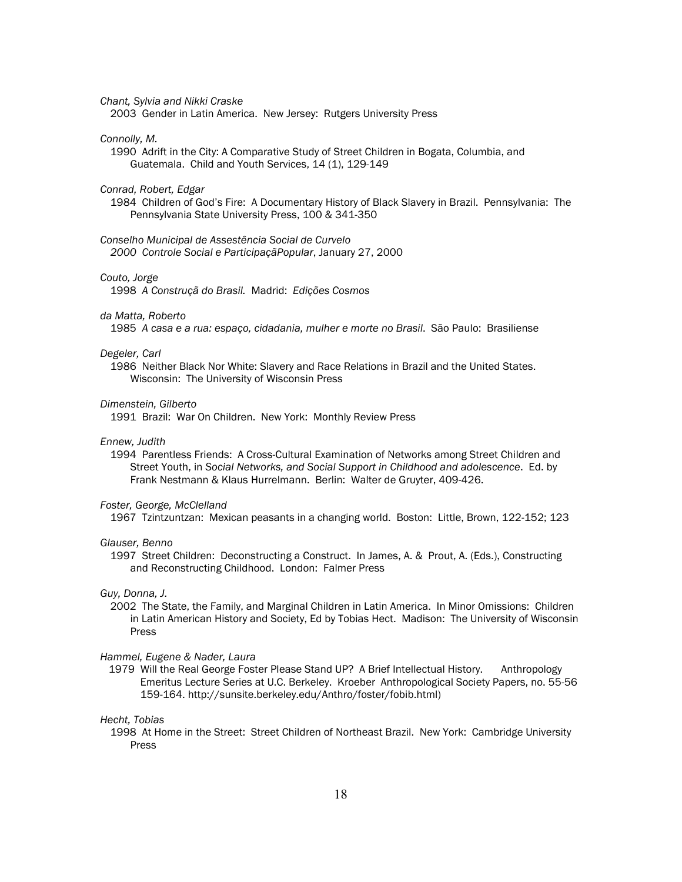Chant. Sylvia and Nikki Craske

2003 Gender in Latin America. New Jersey: Rutgers University Press

## Connolly, M.

1990 Adrift in the City: A Comparative Study of Street Children in Bogata, Columbia, and Guatemala. Child and Youth Services, 14 (1), 129-149

# Conrad, Robert, Edgar

1984 Children of God's Fire: A Documentary History of Black Slavery in Brazil. Pennsylvania: The Pennsylvania State University Press, 100 & 341-350

Conselho Municipal de Assestência Social de Curvelo 2000 Controle Social e Participaçã Popular, January 27, 2000

#### Couto, Jorge

1998 A Construçã do Brasil. Madrid: Edições Cosmos

# da Matta, Roberto

1985 A casa e a rua: espaço, cidadania, mulher e morte no Brasil. São Paulo: Brasiliense

### Degeler, Carl

1986 Neither Black Nor White: Slavery and Race Relations in Brazil and the United States. Wisconsin: The University of Wisconsin Press

## Dimenstein, Gilberto

1991 Brazil: War On Children. New York: Monthly Review Press

# Ennew, Judith

1994 Parentless Friends: A Cross-Cultural Examination of Networks among Street Children and Street Youth, in Social Networks, and Social Support in Childhood and adolescence. Ed. by Frank Nestmann & Klaus Hurrelmann. Berlin: Walter de Gruyter, 409-426.

#### Foster, George, McClelland

1967 Tzintzuntzan: Mexican peasants in a changing world. Boston: Little, Brown, 122-152; 123

#### Glauser, Benno

1997 Street Children: Deconstructing a Construct. In James, A. & Prout, A. (Eds.), Constructing and Reconstructing Childhood. London: Falmer Press

# Guy, Donna, J.

2002 The State, the Family, and Marginal Children in Latin America. In Minor Omissions: Children in Latin American History and Society, Ed by Tobias Hect. Madison: The University of Wisconsin Press

#### Hammel, Eugene & Nader, Laura

1979 Will the Real George Foster Please Stand UP? A Brief Intellectual History. Anthropology Emeritus Lecture Series at U.C. Berkeley. Kroeber Anthropological Society Papers, no. 55-56 159-164. http://sunsite.berkeley.edu/Anthro/foster/fobib.html)

#### Hecht. Tobias

1998 At Home in the Street: Street Children of Northeast Brazil. New York: Cambridge University Press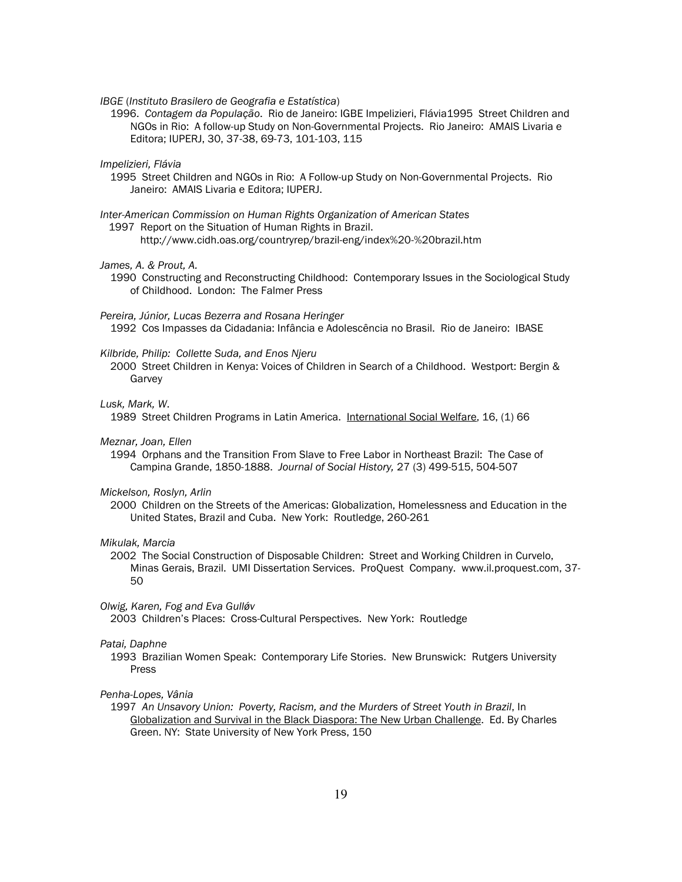IBGE (Instituto Brasilero de Geografia e Estatística)

1996. Contagem da População. Rio de Janeiro: IGBE Impelizieri, Flávia 1995 Street Children and NGOs in Rio: A follow-up Study on Non-Governmental Projects. Rio Janeiro: AMAIS Livaria e Editora; IUPERJ, 30, 37-38, 69-73, 101-103, 115

Impelizieri, Flávia

1995 Street Children and NGOs in Rio: A Follow-up Study on Non-Governmental Projects. Rio Janeiro: AMAIS Livaria e Editora; IUPERJ.

Inter-American Commission on Human Rights Organization of American States

1997 Report on the Situation of Human Rights in Brazil.

http://www.cidh.oas.org/countryrep/brazil-eng/index%20-%20brazil.htm

## James, A. & Prout, A.

1990 Constructing and Reconstructing Childhood: Contemporary Issues in the Sociological Study of Childhood. London: The Falmer Press

Pereira, Júnior, Lucas Bezerra and Rosana Heringer

1992 Cos Impasses da Cidadania: Infância e Adolescência no Brasil. Rio de Janeiro: IBASE

## Kilbride, Philip: Collette Suda, and Enos Njeru

2000 Street Children in Kenya: Voices of Children in Search of a Childhood. Westport: Bergin & Garvey

# Lusk, Mark, W.

1989 Street Children Programs in Latin America. International Social Welfare, 16, (1) 66

## Meznar, Joan, Ellen

1994 Orphans and the Transition From Slave to Free Labor in Northeast Brazil: The Case of Campina Grande, 1850-1888. Journal of Social History, 27 (3) 499-515, 504-507

#### Mickelson, Roslyn, Arlin

2000 Children on the Streets of the Americas: Globalization. Homelessness and Education in the United States, Brazil and Cuba. New York: Routledge, 260-261

#### Mikulak, Marcia

2002 The Social Construction of Disposable Children: Street and Working Children in Curvelo, Minas Gerais, Brazil. UMI Dissertation Services. ProQuest Company. www.il.proquest.com, 37-50

#### Olwig, Karen, Fog and Eva Gulløv

2003 Children's Places: Cross-Cultural Perspectives. New York: Routledge

## Patai, Daphne

1993 Brazilian Women Speak: Contemporary Life Stories. New Brunswick: Rutgers University Press

# Penha-Lopes, Vânia

1997 An Unsavory Union: Poverty, Racism, and the Murders of Street Youth in Brazil, In Globalization and Survival in the Black Diaspora: The New Urban Challenge. Ed. By Charles Green. NY: State University of New York Press, 150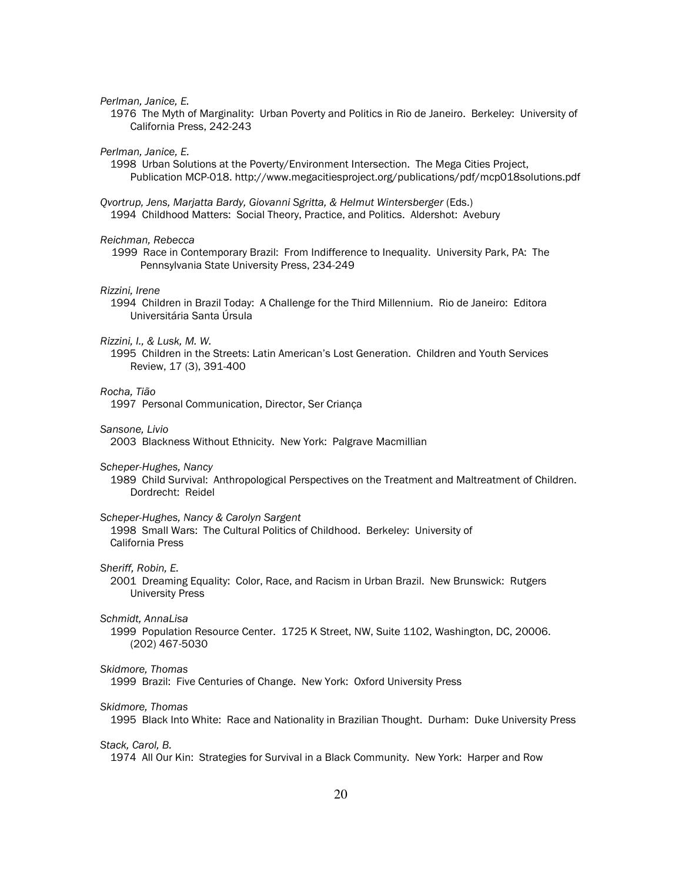Perlman, Janice, E.

1976 The Myth of Marginality: Urban Poverty and Politics in Rio de Janeiro. Berkeley: University of California Press, 242-243

Perlman, Janice, E.

- 1998 Urban Solutions at the Poverty/Environment Intersection. The Mega Cities Project, Publication MCP-018. http://www.megacitiesproject.org/publications/pdf/mcp018solutions.pdf
- Qvortrup, Jens, Marjatta Bardy, Giovanni Sgritta, & Helmut Wintersberger (Eds.) 1994 Childhood Matters: Social Theory, Practice, and Politics. Aldershot: Avebury

## Reichman, Rebecca

1999 Race in Contemporary Brazil: From Indifference to Inequality. University Park, PA: The Pennsylvania State University Press, 234-249

## Rizzini, Irene

1994 Children in Brazil Today: A Challenge for the Third Millennium. Rio de Janeiro: Editora Universitária Santa Úrsula

#### Rizzini, I., & Lusk, M. W.

1995 Children in the Streets: Latin American's Lost Generation. Children and Youth Services Review, 17 (3), 391-400

# Rocha. Tião

1997 Personal Communication, Director, Ser Criança

## Sansone, Livio

2003 Blackness Without Ethnicity. New York: Palgrave Macmillian

Scheper-Hughes, Nancy

1989 Child Survival: Anthropological Perspectives on the Treatment and Maltreatment of Children. Dordrecht: Reidel

# Scheper-Hughes, Nancy & Carolyn Sargent

1998 Small Wars: The Cultural Politics of Childhood. Berkeley: University of California Press

# Sheriff, Robin, E.

2001 Dreaming Equality: Color, Race, and Racism in Urban Brazil. New Brunswick: Rutgers **University Press** 

## Schmidt, AnnaLisa

1999 Population Resource Center. 1725 K Street, NW, Suite 1102, Washington, DC, 20006. (202) 467-5030

## Skidmore, Thomas

1999 Brazil: Five Centuries of Change. New York: Oxford University Press

#### Skidmore, Thomas

1995 Black Into White: Race and Nationality in Brazilian Thought. Durham: Duke University Press

#### Stack, Carol, B.

1974 All Our Kin: Strategies for Survival in a Black Community. New York: Harper and Row